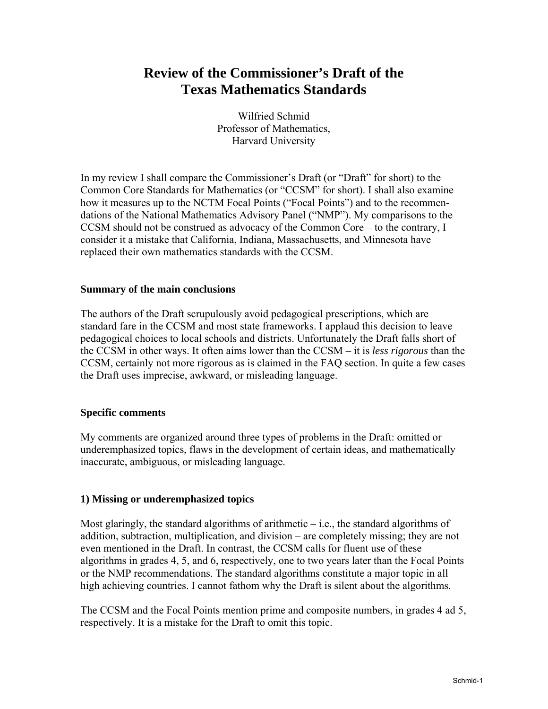# **Review of the Commissioner's Draft of the Texas Mathematics Standards**

Wilfried Schmid Professor of Mathematics, Harvard University

In my review I shall compare the Commissioner's Draft (or "Draft" for short) to the Common Core Standards for Mathematics (or "CCSM" for short). I shall also examine how it measures up to the NCTM Focal Points ("Focal Points") and to the recommendations of the National Mathematics Advisory Panel ("NMP"). My comparisons to the CCSM should not be construed as advocacy of the Common Core – to the contrary, I consider it a mistake that California, Indiana, Massachusetts, and Minnesota have replaced their own mathematics standards with the CCSM.

### **Summary of the main conclusions**

The authors of the Draft scrupulously avoid pedagogical prescriptions, which are standard fare in the CCSM and most state frameworks. I applaud this decision to leave pedagogical choices to local schools and districts. Unfortunately the Draft falls short of the CCSM in other ways. It often aims lower than the CCSM – it is *less rigorous* than the CCSM, certainly not more rigorous as is claimed in the FAQ section. In quite a few cases the Draft uses imprecise, awkward, or misleading language.

#### **Specific comments**

My comments are organized around three types of problems in the Draft: omitted or underemphasized topics, flaws in the development of certain ideas, and mathematically inaccurate, ambiguous, or misleading language.

### **1) Missing or underemphasized topics**

Most glaringly, the standard algorithms of arithmetic  $-i.e.,$  the standard algorithms of addition, subtraction, multiplication, and division – are completely missing; they are not even mentioned in the Draft. In contrast, the CCSM calls for fluent use of these algorithms in grades 4, 5, and 6, respectively, one to two years later than the Focal Points or the NMP recommendations. The standard algorithms constitute a major topic in all high achieving countries. I cannot fathom why the Draft is silent about the algorithms.

The CCSM and the Focal Points mention prime and composite numbers, in grades 4 ad 5, respectively. It is a mistake for the Draft to omit this topic.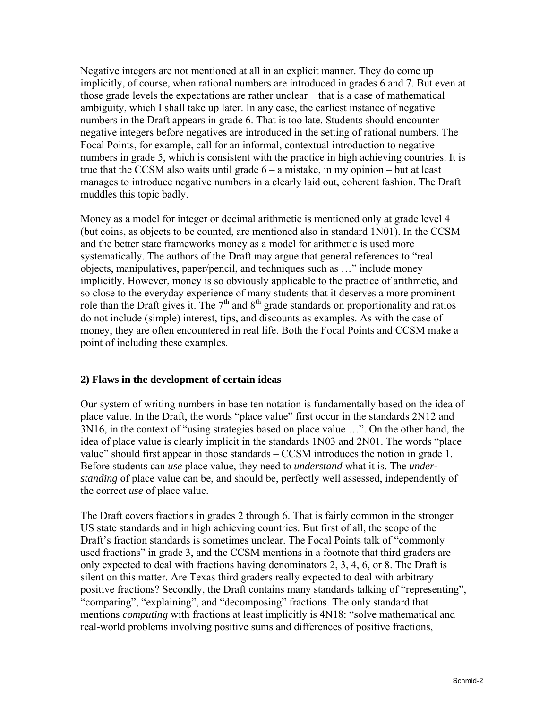Negative integers are not mentioned at all in an explicit manner. They do come up implicitly, of course, when rational numbers are introduced in grades 6 and 7. But even at those grade levels the expectations are rather unclear – that is a case of mathematical ambiguity, which I shall take up later. In any case, the earliest instance of negative numbers in the Draft appears in grade 6. That is too late. Students should encounter negative integers before negatives are introduced in the setting of rational numbers. The Focal Points, for example, call for an informal, contextual introduction to negative numbers in grade 5, which is consistent with the practice in high achieving countries. It is true that the CCSM also waits until grade 6 – a mistake, in my opinion – but at least manages to introduce negative numbers in a clearly laid out, coherent fashion. The Draft muddles this topic badly.

Money as a model for integer or decimal arithmetic is mentioned only at grade level 4 (but coins, as objects to be counted, are mentioned also in standard 1N01). In the CCSM and the better state frameworks money as a model for arithmetic is used more systematically. The authors of the Draft may argue that general references to "real objects, manipulatives, paper/pencil, and techniques such as …" include money implicitly. However, money is so obviously applicable to the practice of arithmetic, and so close to the everyday experience of many students that it deserves a more prominent role than the Draft gives it. The  $7<sup>th</sup>$  and  $8<sup>th</sup>$  grade standards on proportionality and ratios do not include (simple) interest, tips, and discounts as examples. As with the case of money, they are often encountered in real life. Both the Focal Points and CCSM make a point of including these examples.

### **2) Flaws in the development of certain ideas**

Our system of writing numbers in base ten notation is fundamentally based on the idea of place value. In the Draft, the words "place value" first occur in the standards 2N12 and 3N16, in the context of "using strategies based on place value …". On the other hand, the idea of place value is clearly implicit in the standards 1N03 and 2N01. The words "place value" should first appear in those standards – CCSM introduces the notion in grade 1. Before students can *use* place value, they need to *understand* what it is. The *understanding* of place value can be, and should be, perfectly well assessed, independently of the correct *use* of place value.

The Draft covers fractions in grades 2 through 6. That is fairly common in the stronger US state standards and in high achieving countries. But first of all, the scope of the Draft's fraction standards is sometimes unclear. The Focal Points talk of "commonly used fractions" in grade 3, and the CCSM mentions in a footnote that third graders are only expected to deal with fractions having denominators 2, 3, 4, 6, or 8. The Draft is silent on this matter. Are Texas third graders really expected to deal with arbitrary positive fractions? Secondly, the Draft contains many standards talking of "representing", "comparing", "explaining", and "decomposing" fractions. The only standard that mentions *computing* with fractions at least implicitly is  $4N18$ : "solve mathematical and real-world problems involving positive sums and differences of positive fractions,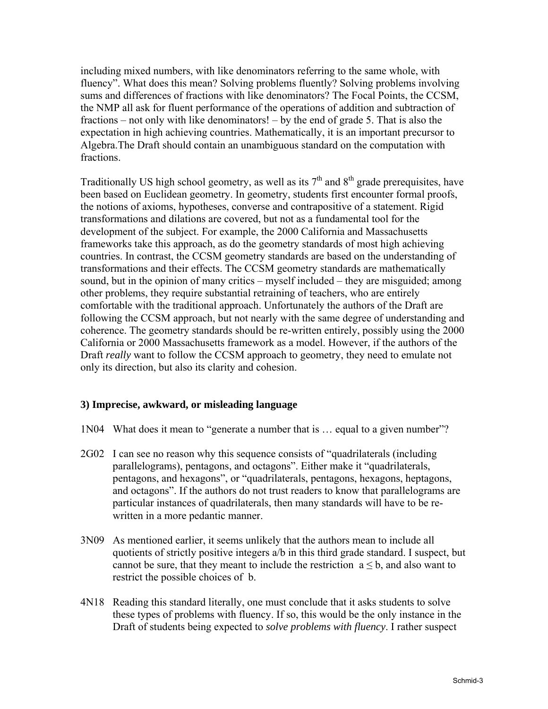including mixed numbers, with like denominators referring to the same whole, with fluency". What does this mean? Solving problems fluently? Solving problems involving sums and differences of fractions with like denominators? The Focal Points, the CCSM, the NMP all ask for fluent performance of the operations of addition and subtraction of fractions – not only with like denominators! – by the end of grade 5. That is also the expectation in high achieving countries. Mathematically, it is an important precursor to Algebra.The Draft should contain an unambiguous standard on the computation with fractions.

Traditionally US high school geometry, as well as its  $7<sup>th</sup>$  and  $8<sup>th</sup>$  grade prerequisites, have been based on Euclidean geometry. In geometry, students first encounter formal proofs, the notions of axioms, hypotheses, converse and contrapositive of a statement. Rigid transformations and dilations are covered, but not as a fundamental tool for the development of the subject. For example, the 2000 California and Massachusetts frameworks take this approach, as do the geometry standards of most high achieving countries. In contrast, the CCSM geometry standards are based on the understanding of transformations and their effects. The CCSM geometry standards are mathematically sound, but in the opinion of many critics – myself included – they are misguided; among other problems, they require substantial retraining of teachers, who are entirely comfortable with the traditional approach. Unfortunately the authors of the Draft are following the CCSM approach, but not nearly with the same degree of understanding and coherence. The geometry standards should be re-written entirely, possibly using the 2000 California or 2000 Massachusetts framework as a model. However, if the authors of the Draft *really* want to follow the CCSM approach to geometry, they need to emulate not only its direction, but also its clarity and cohesion.

## **3) Imprecise, awkward, or misleading language**

- 1N04 What does it mean to "generate a number that is … equal to a given number"?
- 2G02 I can see no reason why this sequence consists of "quadrilaterals (including parallelograms), pentagons, and octagons". Either make it "quadrilaterals, pentagons, and hexagons", or "quadrilaterals, pentagons, hexagons, heptagons, and octagons". If the authors do not trust readers to know that parallelograms are particular instances of quadrilaterals, then many standards will have to be rewritten in a more pedantic manner.
- 3N09 As mentioned earlier, it seems unlikely that the authors mean to include all quotients of strictly positive integers a/b in this third grade standard. I suspect, but cannot be sure, that they meant to include the restriction  $a \leq b$ , and also want to restrict the possible choices of b.
- 4N18 Reading this standard literally, one must conclude that it asks students to solve these types of problems with fluency. If so, this would be the only instance in the Draft of students being expected to *solve problems with fluency*. I rather suspect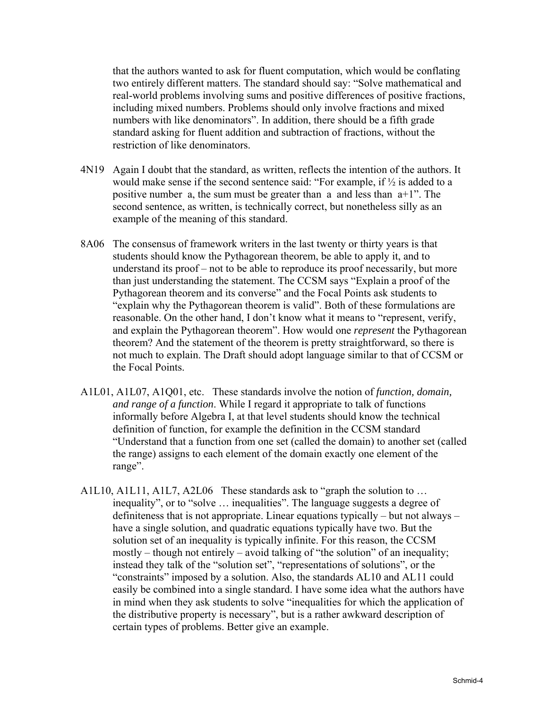that the authors wanted to ask for fluent computation, which would be conflating two entirely different matters. The standard should say: "Solve mathematical and real-world problems involving sums and positive differences of positive fractions, including mixed numbers. Problems should only involve fractions and mixed numbers with like denominators". In addition, there should be a fifth grade standard asking for fluent addition and subtraction of fractions, without the restriction of like denominators.

- 4N19 Again I doubt that the standard, as written, reflects the intention of the authors. It would make sense if the second sentence said: "For example, if  $\frac{1}{2}$  is added to a positive number a, the sum must be greater than a and less than a+1". The second sentence, as written, is technically correct, but nonetheless silly as an example of the meaning of this standard.
- 8A06 The consensus of framework writers in the last twenty or thirty years is that students should know the Pythagorean theorem, be able to apply it, and to understand its proof – not to be able to reproduce its proof necessarily, but more than just understanding the statement. The CCSM says "Explain a proof of the Pythagorean theorem and its converse" and the Focal Points ask students to "explain why the Pythagorean theorem is valid". Both of these formulations are reasonable. On the other hand, I don't know what it means to "represent, verify, and explain the Pythagorean theorem". How would one *represent* the Pythagorean theorem? And the statement of the theorem is pretty straightforward, so there is not much to explain. The Draft should adopt language similar to that of CCSM or the Focal Points.
- A1L01, A1L07, A1Q01, etc. These standards involve the notion of *function, domain, and range of a function*. While I regard it appropriate to talk of functions informally before Algebra I, at that level students should know the technical definition of function, for example the definition in the CCSM standard "Understand that a function from one set (called the domain) to another set (called the range) assigns to each element of the domain exactly one element of the range".
- A1L10, A1L11, A1L7, A2L06 These standards ask to "graph the solution to … inequality", or to "solve … inequalities". The language suggests a degree of definiteness that is not appropriate. Linear equations typically – but not always – have a single solution, and quadratic equations typically have two. But the solution set of an inequality is typically infinite. For this reason, the CCSM mostly – though not entirely – avoid talking of "the solution" of an inequality; instead they talk of the "solution set", "representations of solutions", or the "constraints" imposed by a solution. Also, the standards AL10 and AL11 could easily be combined into a single standard. I have some idea what the authors have in mind when they ask students to solve "inequalities for which the application of the distributive property is necessary", but is a rather awkward description of certain types of problems. Better give an example.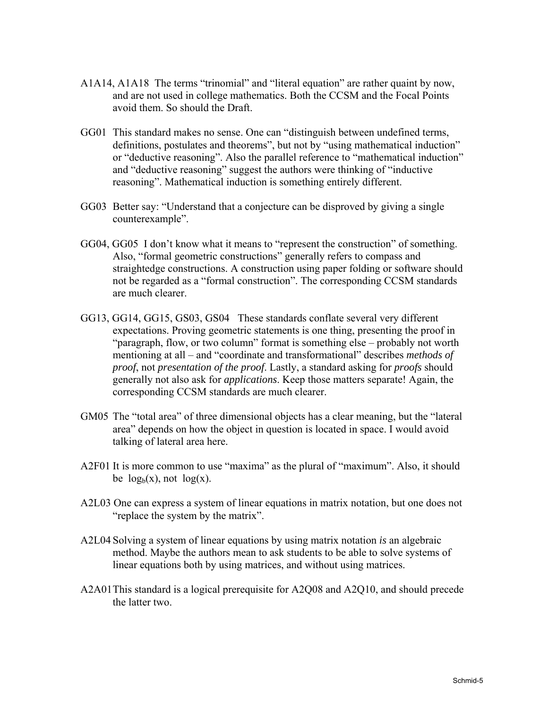- A1A14, A1A18 The terms "trinomial" and "literal equation" are rather quaint by now, and are not used in college mathematics. Both the CCSM and the Focal Points avoid them. So should the Draft.
- GG01 This standard makes no sense. One can "distinguish between undefined terms, definitions, postulates and theorems", but not by "using mathematical induction" or "deductive reasoning". Also the parallel reference to "mathematical induction" and "deductive reasoning" suggest the authors were thinking of "inductive reasoning". Mathematical induction is something entirely different.
- GG03 Better say: "Understand that a conjecture can be disproved by giving a single counterexample".
- GG04, GG05 I don't know what it means to "represent the construction" of something. Also, "formal geometric constructions" generally refers to compass and straightedge constructions. A construction using paper folding or software should not be regarded as a "formal construction". The corresponding CCSM standards are much clearer.
- GG13, GG14, GG15, GS03, GS04 These standards conflate several very different expectations. Proving geometric statements is one thing, presenting the proof in "paragraph, flow, or two column" format is something else – probably not worth mentioning at all – and "coordinate and transformational" describes *methods of proof*, not *presentation of the proof*. Lastly, a standard asking for *proofs* should generally not also ask for *applications*. Keep those matters separate! Again, the corresponding CCSM standards are much clearer.
- GM05 The "total area" of three dimensional objects has a clear meaning, but the "lateral area" depends on how the object in question is located in space. I would avoid talking of lateral area here.
- A2F01 It is more common to use "maxima" as the plural of "maximum". Also, it should be  $log_b(x)$ , not  $log(x)$ .
- A2L03 One can express a system of linear equations in matrix notation, but one does not "replace the system by the matrix".
- A2L04 Solving a system of linear equations by using matrix notation *is* an algebraic method. Maybe the authors mean to ask students to be able to solve systems of linear equations both by using matrices, and without using matrices.
- A2A01 This standard is a logical prerequisite for A2Q08 and A2Q10, and should precede the latter two.